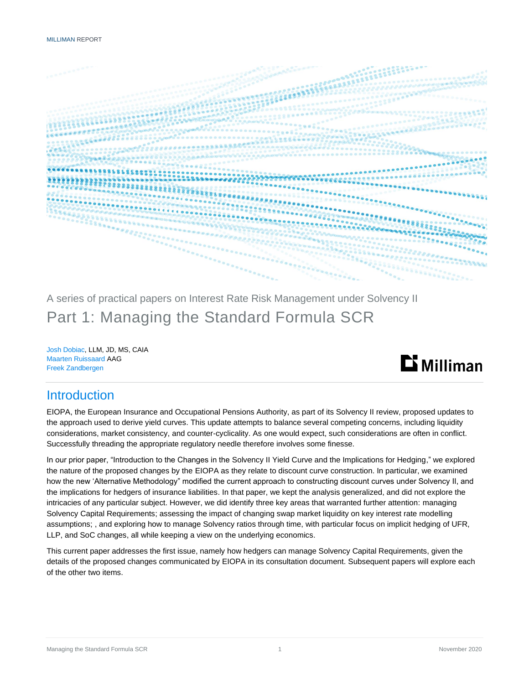

A series of practical papers on Interest Rate Risk Management under Solvency II Part 1: Managing the Standard Formula SCR

Josh Dobiac, LLM, JD, MS, CAIA Maarten Ruissaard AAG Freek Zandbergen



### **Introduction**

EIOPA, the European Insurance and Occupational Pensions Authority, as part of its Solvency II review, proposed updates to the approach used to derive yield curves. This update attempts to balance several competing concerns, including liquidity considerations, market consistency, and counter-cyclicality. As one would expect, such considerations are often in conflict. Successfully threading the appropriate regulatory needle therefore involves some finesse.

In our prior paper, "Introduction to the Changes in the Solvency II Yield Curve and the Implications for Hedging," we explored the nature of the proposed changes by the EIOPA as they relate to discount curve construction. In particular, we examined how the new 'Alternative Methodology" modified the current approach to constructing discount curves under Solvency II, and the implications for hedgers of insurance liabilities. In that paper, we kept the analysis generalized, and did not explore the intricacies of any particular subject. However, we did identify three key areas that warranted further attention: managing Solvency Capital Requirements; assessing the impact of changing swap market liquidity on key interest rate modelling assumptions; , and exploring how to manage Solvency ratios through time, with particular focus on implicit hedging of UFR, LLP, and SoC changes, all while keeping a view on the underlying economics.

This current paper addresses the first issue, namely how hedgers can manage Solvency Capital Requirements, given the details of the proposed changes communicated by EIOPA in its consultation document. Subsequent papers will explore each of the other two items.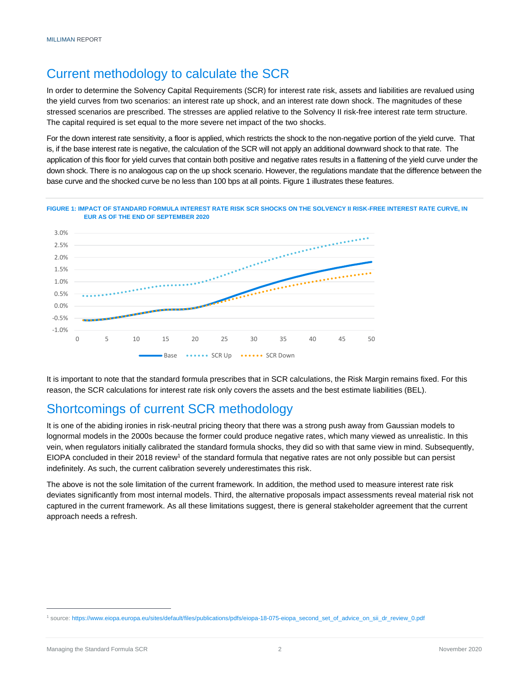# Current methodology to calculate the SCR

In order to determine the Solvency Capital Requirements (SCR) for interest rate risk, assets and liabilities are revalued using the yield curves from two scenarios: an interest rate up shock, and an interest rate down shock. The magnitudes of these stressed scenarios are prescribed. The stresses are applied relative to the Solvency II risk-free interest rate term structure. The capital required is set equal to the more severe net impact of the two shocks.

For the down interest rate sensitivity, a floor is applied, which restricts the shock to the non-negative portion of the yield curve. That is, if the base interest rate is negative, the calculation of the SCR will not apply an additional downward shock to that rate. The application of this floor for yield curves that contain both positive and negative rates results in a flattening of the yield curve under the down shock. There is no analogous cap on the up shock scenario. However, the regulations mandate that the difference between the base curve and the shocked curve be no less than 100 bps at all points. Figure 1 illustrates these features.





It is important to note that the standard formula prescribes that in SCR calculations, the Risk Margin remains fixed. For this reason, the SCR calculations for interest rate risk only covers the assets and the best estimate liabilities (BEL).

## Shortcomings of current SCR methodology

It is one of the abiding ironies in risk-neutral pricing theory that there was a strong push away from Gaussian models to lognormal models in the 2000s because the former could produce negative rates, which many viewed as unrealistic. In this vein, when regulators initially calibrated the standard formula shocks, they did so with that same view in mind. Subsequently, EIOPA concluded in their 2018 review<sup>1</sup> of the standard formula that negative rates are not only possible but can persist indefinitely. As such, the current calibration severely underestimates this risk.

The above is not the sole limitation of the current framework. In addition, the method used to measure interest rate risk deviates significantly from most internal models. Third, the alternative proposals impact assessments reveal material risk not captured in the current framework. As all these limitations suggest, there is general stakeholder agreement that the current approach needs a refresh.

<sup>1</sup> source[: https://www.eiopa.europa.eu/sites/default/files/publications/pdfs/eiopa-18-075-eiopa\\_second\\_set\\_of\\_advice\\_on\\_sii\\_dr\\_review\\_0.pdf](https://www.eiopa.europa.eu/sites/default/files/publications/pdfs/eiopa-18-075-eiopa_second_set_of_advice_on_sii_dr_review_0.pdf)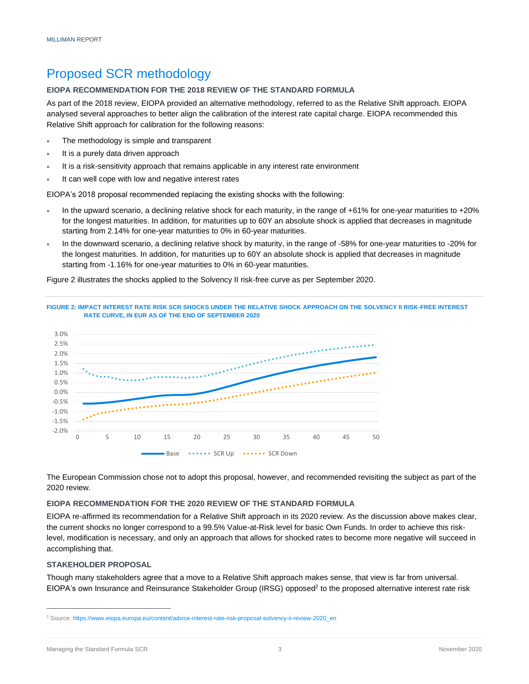## Proposed SCR methodology

#### **EIOPA RECOMMENDATION FOR THE 2018 REVIEW OF THE STANDARD FORMULA**

As part of the 2018 review, EIOPA provided an alternative methodology, referred to as the Relative Shift approach. EIOPA analysed several approaches to better align the calibration of the interest rate capital charge. EIOPA recommended this Relative Shift approach for calibration for the following reasons:

- The methodology is simple and transparent
- It is a purely data driven approach
- It is a risk-sensitivity approach that remains applicable in any interest rate environment
- It can well cope with low and negative interest rates

EIOPA's 2018 proposal recommended replacing the existing shocks with the following:

- In the upward scenario, a declining relative shock for each maturity, in the range of +61% for one-year maturities to +20% for the longest maturities. In addition, for maturities up to 60Y an absolute shock is applied that decreases in magnitude starting from 2.14% for one-year maturities to 0% in 60-year maturities.
- In the downward scenario, a declining relative shock by maturity, in the range of -58% for one-year maturities to -20% for the longest maturities. In addition, for maturities up to 60Y an absolute shock is applied that decreases in magnitude starting from -1.16% for one-year maturities to 0% in 60-year maturities.

Figure 2 illustrates the shocks applied to the Solvency II risk-free curve as per September 2020.



The European Commission chose not to adopt this proposal, however, and recommended revisiting the subject as part of the 2020 review.

#### **EIOPA RECOMMENDATION FOR THE 2020 REVIEW OF THE STANDARD FORMULA**

EIOPA re-affirmed its recommendation for a Relative Shift approach in its 2020 review. As the discussion above makes clear, the current shocks no longer correspond to a 99.5% Value-at-Risk level for basic Own Funds. In order to achieve this risklevel, modification is necessary, and only an approach that allows for shocked rates to become more negative will succeed in accomplishing that.

#### **STAKEHOLDER PROPOSAL**

Though many stakeholders agree that a move to a Relative Shift approach makes sense, that view is far from universal. EIOPA's own Insurance and Reinsurance Stakeholder Group (IRSG) opposed<sup>2</sup> to the proposed alternative interest rate risk

<sup>2</sup> Source[: https://www.eiopa.europa.eu/content/advice-interest-rate-risk-proposal-solvency-ii-review-2020\\_en](https://www.eiopa.europa.eu/content/advice-interest-rate-risk-proposal-solvency-ii-review-2020_en)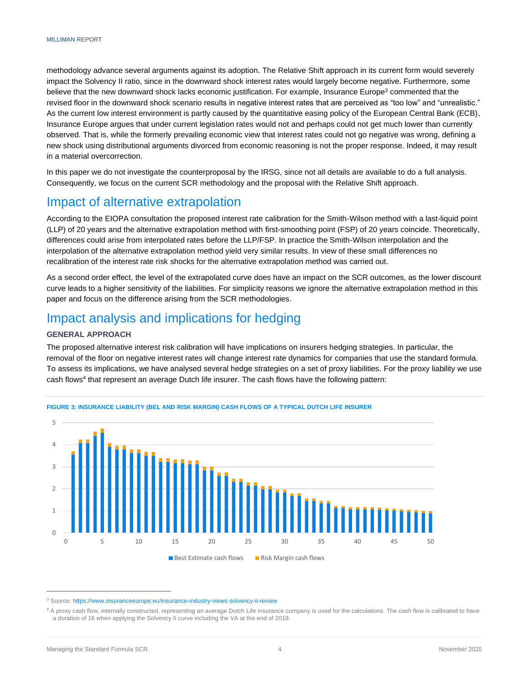methodology advance several arguments against its adoption. The Relative Shift approach in its current form would severely impact the Solvency II ratio, since in the downward shock interest rates would largely become negative. Furthermore, some believe that the new downward shock lacks economic justification. For example, Insurance Europe<sup>3</sup> commented that the revised floor in the downward shock scenario results in negative interest rates that are perceived as "too low" and "unrealistic." As the current low interest environment is partly caused by the quantitative easing policy of the European Central Bank (ECB), Insurance Europe argues that under current legislation rates would not and perhaps could not get much lower than currently observed. That is, while the formerly prevailing economic view that interest rates could not go negative was wrong, defining a new shock using distributional arguments divorced from economic reasoning is not the proper response. Indeed, it may result in a material overcorrection.

In this paper we do not investigate the counterproposal by the IRSG, since not all details are available to do a full analysis. Consequently, we focus on the current SCR methodology and the proposal with the Relative Shift approach.

### Impact of alternative extrapolation

According to the EIOPA consultation the proposed interest rate calibration for the Smith-Wilson method with a last-liquid point (LLP) of 20 years and the alternative extrapolation method with first-smoothing point (FSP) of 20 years coincide. Theoretically, differences could arise from interpolated rates before the LLP/FSP. In practice the Smith-Wilson interpolation and the interpolation of the alternative extrapolation method yield very similar results. In view of these small differences no recalibration of the interest rate risk shocks for the alternative extrapolation method was carried out.

As a second order effect, the level of the extrapolated curve does have an impact on the SCR outcomes, as the lower discount curve leads to a higher sensitivity of the liabilities. For simplicity reasons we ignore the alternative extrapolation method in this paper and focus on the difference arising from the SCR methodologies.

### Impact analysis and implications for hedging

#### **GENERAL APPROACH**

The proposed alternative interest risk calibration will have implications on insurers hedging strategies. In particular, the removal of the floor on negative interest rates will change interest rate dynamics for companies that use the standard formula. To assess its implications, we have analysed several hedge strategies on a set of proxy liabilities. For the proxy liability we use cash flows<sup>4</sup> that represent an average Dutch life insurer. The cash flows have the following pattern:



#### **FIGURE 3: INSURANCE LIABILITY (BEL AND RISK MARGIN) CASH FLOWS OF A TYPICAL DUTCH LIFE INSURER**

<sup>3</sup> Source: <https://www.insuranceeurope.eu/insurance-industry-views-solvency-ii-review>

<sup>&</sup>lt;sup>4</sup> A proxy cash flow, internally constructed, representing an average Dutch Life insurance company is used for the calculations. The cash flow is calibrated to have a duration of 16 when applying the Solvency II curve including the VA at the end of 2019.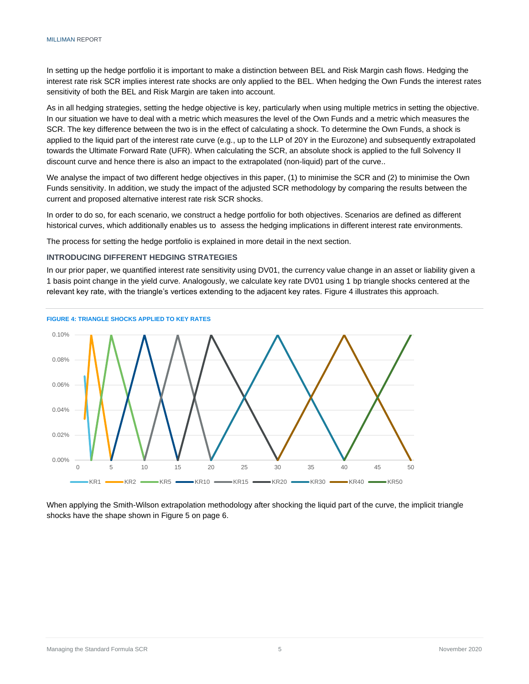In setting up the hedge portfolio it is important to make a distinction between BEL and Risk Margin cash flows. Hedging the interest rate risk SCR implies interest rate shocks are only applied to the BEL. When hedging the Own Funds the interest rates sensitivity of both the BEL and Risk Margin are taken into account.

As in all hedging strategies, setting the hedge objective is key, particularly when using multiple metrics in setting the objective. In our situation we have to deal with a metric which measures the level of the Own Funds and a metric which measures the SCR. The key difference between the two is in the effect of calculating a shock. To determine the Own Funds, a shock is applied to the liquid part of the interest rate curve (e.g., up to the LLP of 20Y in the Eurozone) and subsequently extrapolated towards the Ultimate Forward Rate (UFR). When calculating the SCR, an absolute shock is applied to the full Solvency II discount curve and hence there is also an impact to the extrapolated (non-liquid) part of the curve..

We analyse the impact of two different hedge objectives in this paper, (1) to minimise the SCR and (2) to minimise the Own Funds sensitivity. In addition, we study the impact of the adjusted SCR methodology by comparing the results between the current and proposed alternative interest rate risk SCR shocks.

In order to do so, for each scenario, we construct a hedge portfolio for both objectives. Scenarios are defined as different historical curves, which additionally enables us to assess the hedging implications in different interest rate environments.

The process for setting the hedge portfolio is explained in more detail in the next section.

#### **INTRODUCING DIFFERENT HEDGING STRATEGIES**

In our prior paper, we quantified interest rate sensitivity using DV01, the currency value change in an asset or liability given a 1 basis point change in the yield curve. Analogously, we calculate key rate DV01 using 1 bp triangle shocks centered at the relevant key rate, with the triangle's vertices extending to the adjacent key rates. Figure 4 illustrates this approach.



**FIGURE 4: TRIANGLE SHOCKS APPLIED TO KEY RATES**

When applying the Smith-Wilson extrapolation methodology after shocking the liquid part of the curve, the implicit triangle shocks have the shape shown in Figure 5 on page 6.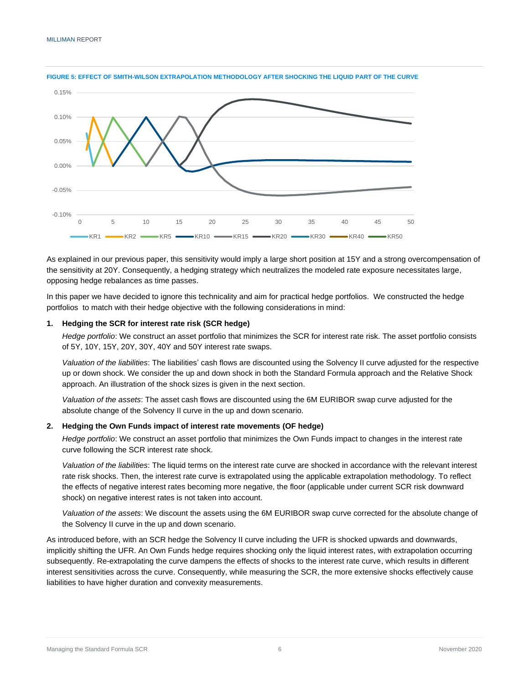

#### **FIGURE 5: EFFECT OF SMITH-WILSON EXTRAPOLATION METHODOLOGY AFTER SHOCKING THE LIQUID PART OF THE CURVE**

As explained in our previous paper, this sensitivity would imply a large short position at 15Y and a strong overcompensation of the sensitivity at 20Y. Consequently, a hedging strategy which neutralizes the modeled rate exposure necessitates large, opposing hedge rebalances as time passes.

In this paper we have decided to ignore this technicality and aim for practical hedge portfolios. We constructed the hedge portfolios to match with their hedge objective with the following considerations in mind:

#### **1. Hedging the SCR for interest rate risk (SCR hedge)**

*Hedge portfolio*: We construct an asset portfolio that minimizes the SCR for interest rate risk. The asset portfolio consists of 5Y, 10Y, 15Y, 20Y, 30Y, 40Y and 50Y interest rate swaps.

*Valuation of the liabilities*: The liabilities' cash flows are discounted using the Solvency II curve adjusted for the respective up or down shock. We consider the up and down shock in both the Standard Formula approach and the Relative Shock approach. An illustration of the shock sizes is given in the next section.

*Valuation of the assets*: The asset cash flows are discounted using the 6M EURIBOR swap curve adjusted for the absolute change of the Solvency II curve in the up and down scenario.

#### **2. Hedging the Own Funds impact of interest rate movements (OF hedge)**

*Hedge portfolio*: We construct an asset portfolio that minimizes the Own Funds impact to changes in the interest rate curve following the SCR interest rate shock.

*Valuation of the liabilities*: The liquid terms on the interest rate curve are shocked in accordance with the relevant interest rate risk shocks. Then, the interest rate curve is extrapolated using the applicable extrapolation methodology. To reflect the effects of negative interest rates becoming more negative, the floor (applicable under current SCR risk downward shock) on negative interest rates is not taken into account.

*Valuation of the assets*: We discount the assets using the 6M EURIBOR swap curve corrected for the absolute change of the Solvency II curve in the up and down scenario.

As introduced before, with an SCR hedge the Solvency II curve including the UFR is shocked upwards and downwards, implicitly shifting the UFR. An Own Funds hedge requires shocking only the liquid interest rates, with extrapolation occurring subsequently. Re-extrapolating the curve dampens the effects of shocks to the interest rate curve, which results in different interest sensitivities across the curve. Consequently, while measuring the SCR, the more extensive shocks effectively cause liabilities to have higher duration and convexity measurements.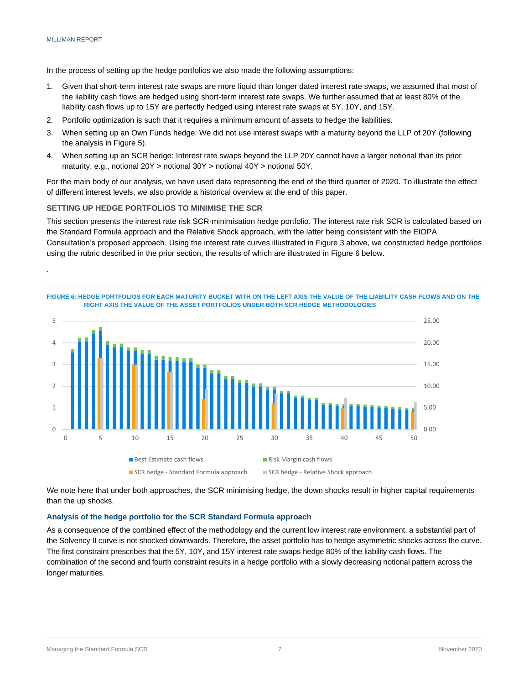.

In the process of setting up the hedge portfolios we also made the following assumptions:

- 1. Given that short-term interest rate swaps are more liquid than longer dated interest rate swaps, we assumed that most of the liability cash flows are hedged using short-term interest rate swaps. We further assumed that at least 80% of the liability cash flows up to 15Y are perfectly hedged using interest rate swaps at 5Y, 10Y, and 15Y.
- 2. Portfolio optimization is such that it requires a minimum amount of assets to hedge the liabilities.
- 3. When setting up an Own Funds hedge: We did not use interest swaps with a maturity beyond the LLP of 20Y (following the analysis in Figure 5).
- 4. When setting up an SCR hedge: Interest rate swaps beyond the LLP 20Y cannot have a larger notional than its prior maturity, e.g., notional 20Y > notional 30Y > notional 40Y > notional 50Y.

For the main body of our analysis, we have used data representing the end of the third quarter of 2020. To illustrate the effect of different interest levels, we also provide a historical overview at the end of this paper.

#### **SETTING UP HEDGE PORTFOLIOS TO MINIMISE THE SCR**

This section presents the interest rate risk SCR-minimisation hedge portfolio. The interest rate risk SCR is calculated based on the Standard Formula approach and the Relative Shock approach, with the latter being consistent with the EIOPA Consultation's proposed approach. Using the interest rate curves illustrated in Figure 3 above, we constructed hedge portfolios using the rubric described in the prior section, the results of which are illustrated in Figure 6 below.



We note here that under both approaches, the SCR minimising hedge, the down shocks result in higher capital requirements than the up shocks.

#### **Analysis of the hedge portfolio for the SCR Standard Formula approach**

As a consequence of the combined effect of the methodology and the current low interest rate environment, a substantial part of the Solvency II curve is not shocked downwards. Therefore, the asset portfolio has to hedge asymmetric shocks across the curve. The first constraint prescribes that the 5Y, 10Y, and 15Y interest rate swaps hedge 80% of the liability cash flows. The combination of the second and fourth constraint results in a hedge portfolio with a slowly decreasing notional pattern across the longer maturities.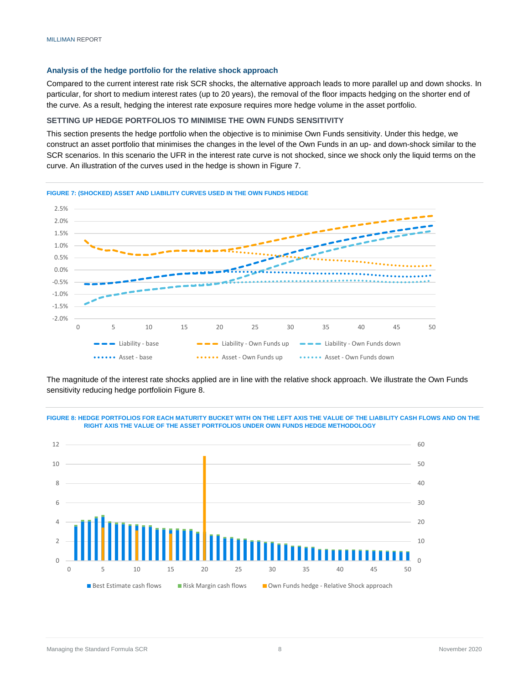#### **Analysis of the hedge portfolio for the relative shock approach**

Compared to the current interest rate risk SCR shocks, the alternative approach leads to more parallel up and down shocks. In particular, for short to medium interest rates (up to 20 years), the removal of the floor impacts hedging on the shorter end of the curve. As a result, hedging the interest rate exposure requires more hedge volume in the asset portfolio.

#### **SETTING UP HEDGE PORTFOLIOS TO MINIMISE THE OWN FUNDS SENSITIVITY**

This section presents the hedge portfolio when the objective is to minimise Own Funds sensitivity. Under this hedge, we construct an asset portfolio that minimises the changes in the level of the Own Funds in an up- and down-shock similar to the SCR scenarios. In this scenario the UFR in the interest rate curve is not shocked, since we shock only the liquid terms on the curve. An illustration of the curves used in the hedge is shown in Figure 7.



The magnitude of the interest rate shocks applied are in line with the relative shock approach. We illustrate the Own Funds sensitivity reducing hedge portfolioin Figure 8.





#### Managing the Standard Formula SCR **8** November 2020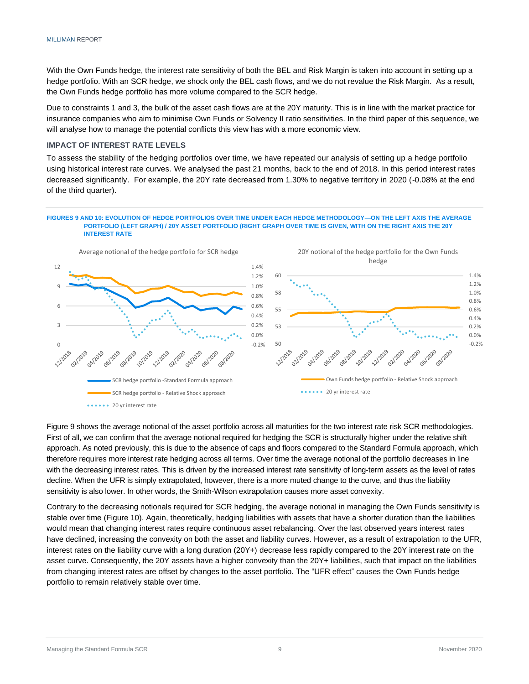With the Own Funds hedge, the interest rate sensitivity of both the BEL and Risk Margin is taken into account in setting up a hedge portfolio. With an SCR hedge, we shock only the BEL cash flows, and we do not revalue the Risk Margin. As a result, the Own Funds hedge portfolio has more volume compared to the SCR hedge.

Due to constraints 1 and 3, the bulk of the asset cash flows are at the 20Y maturity. This is in line with the market practice for insurance companies who aim to minimise Own Funds or Solvency II ratio sensitivities. In the third paper of this sequence, we will analyse how to manage the potential conflicts this view has with a more economic view.

#### **IMPACT OF INTEREST RATE LEVELS**

To assess the stability of the hedging portfolios over time, we have repeated our analysis of setting up a hedge portfolio using historical interest rate curves. We analysed the past 21 months, back to the end of 2018. In this period interest rates decreased significantly. For example, the 20Y rate decreased from 1.30% to negative territory in 2020 (-0.08% at the end of the third quarter).

#### **FIGURES 9 AND 10: EVOLUTION OF HEDGE PORTFOLIOS OVER TIME UNDER EACH HEDGE METHODOLOGY—ON THE LEFT AXIS THE AVERAGE PORTFOLIO (LEFT GRAPH) / 20Y ASSET PORTFOLIO (RIGHT GRAPH OVER TIME IS GIVEN, WITH ON THE RIGHT AXIS THE 20Y INTEREST RATE**



Figure 9 shows the average notional of the asset portfolio across all maturities for the two interest rate risk SCR methodologies. First of all, we can confirm that the average notional required for hedging the SCR is structurally higher under the relative shift approach. As noted previously, this is due to the absence of caps and floors compared to the Standard Formula approach, which therefore requires more interest rate hedging across all terms. Over time the average notional of the portfolio decreases in line with the decreasing interest rates. This is driven by the increased interest rate sensitivity of long-term assets as the level of rates decline. When the UFR is simply extrapolated, however, there is a more muted change to the curve, and thus the liability sensitivity is also lower. In other words, the Smith-Wilson extrapolation causes more asset convexity.

Contrary to the decreasing notionals required for SCR hedging, the average notional in managing the Own Funds sensitivity is stable over time (Figure 10). Again, theoretically, hedging liabilities with assets that have a shorter duration than the liabilities would mean that changing interest rates require continuous asset rebalancing. Over the last observed years interest rates have declined, increasing the convexity on both the asset and liability curves. However, as a result of extrapolation to the UFR, interest rates on the liability curve with a long duration (20Y+) decrease less rapidly compared to the 20Y interest rate on the asset curve. Consequently, the 20Y assets have a higher convexity than the 20Y+ liabilities, such that impact on the liabilities from changing interest rates are offset by changes to the asset portfolio. The "UFR effect" causes the Own Funds hedge portfolio to remain relatively stable over time.